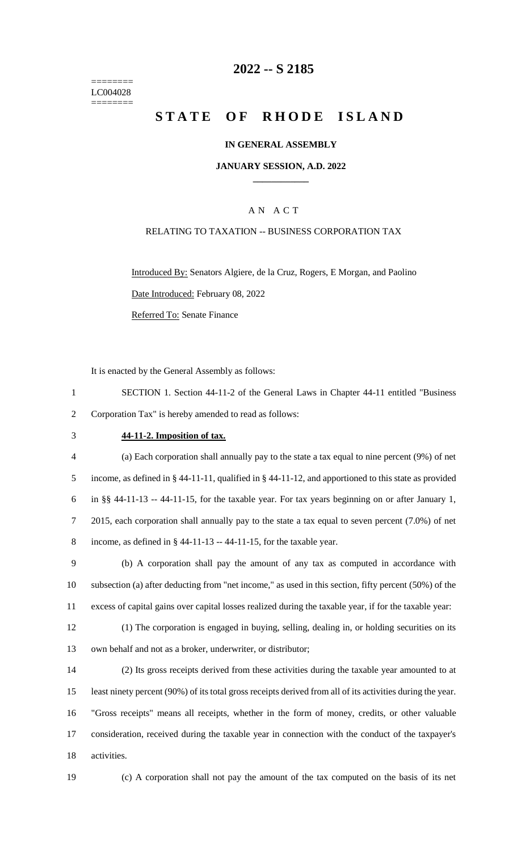======== LC004028 ========

# **2022 -- S 2185**

# **STATE OF RHODE ISLAND**

#### **IN GENERAL ASSEMBLY**

#### **JANUARY SESSION, A.D. 2022 \_\_\_\_\_\_\_\_\_\_\_\_**

## A N A C T

#### RELATING TO TAXATION -- BUSINESS CORPORATION TAX

Introduced By: Senators Algiere, de la Cruz, Rogers, E Morgan, and Paolino Date Introduced: February 08, 2022 Referred To: Senate Finance

It is enacted by the General Assembly as follows:

1 SECTION 1. Section 44-11-2 of the General Laws in Chapter 44-11 entitled "Business 2 Corporation Tax" is hereby amended to read as follows:

#### 3 **44-11-2. Imposition of tax.**

 (a) Each corporation shall annually pay to the state a tax equal to nine percent (9%) of net income, as defined in § 44-11-11, qualified in § 44-11-12, and apportioned to this state as provided in §§ 44-11-13 -- 44-11-15, for the taxable year. For tax years beginning on or after January 1, 2015, each corporation shall annually pay to the state a tax equal to seven percent (7.0%) of net 8 income, as defined in  $\S$  44-11-13 -- 44-11-15, for the taxable year.

9 (b) A corporation shall pay the amount of any tax as computed in accordance with 10 subsection (a) after deducting from "net income," as used in this section, fifty percent (50%) of the 11 excess of capital gains over capital losses realized during the taxable year, if for the taxable year:

12 (1) The corporation is engaged in buying, selling, dealing in, or holding securities on its 13 own behalf and not as a broker, underwriter, or distributor;

 (2) Its gross receipts derived from these activities during the taxable year amounted to at least ninety percent (90%) of its total gross receipts derived from all of its activities during the year. "Gross receipts" means all receipts, whether in the form of money, credits, or other valuable consideration, received during the taxable year in connection with the conduct of the taxpayer's activities.

19 (c) A corporation shall not pay the amount of the tax computed on the basis of its net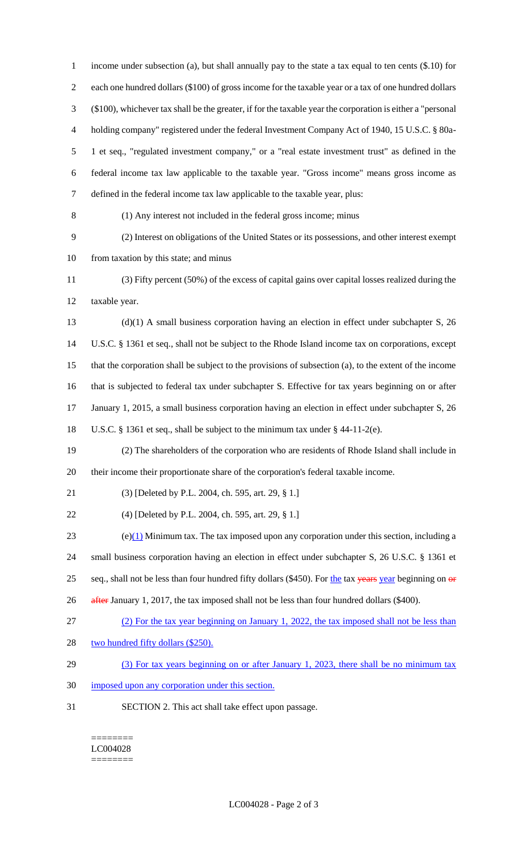income under subsection (a), but shall annually pay to the state a tax equal to ten cents (\$.10) for each one hundred dollars (\$100) of gross income for the taxable year or a tax of one hundred dollars (\$100), whichever tax shall be the greater, if for the taxable year the corporation is either a "personal holding company" registered under the federal Investment Company Act of 1940, 15 U.S.C. § 80a- 1 et seq., "regulated investment company," or a "real estate investment trust" as defined in the federal income tax law applicable to the taxable year. "Gross income" means gross income as defined in the federal income tax law applicable to the taxable year, plus: (1) Any interest not included in the federal gross income; minus (2) Interest on obligations of the United States or its possessions, and other interest exempt from taxation by this state; and minus (3) Fifty percent (50%) of the excess of capital gains over capital losses realized during the taxable year. (d)(1) A small business corporation having an election in effect under subchapter S, 26 U.S.C. § 1361 et seq., shall not be subject to the Rhode Island income tax on corporations, except that the corporation shall be subject to the provisions of subsection (a), to the extent of the income that is subjected to federal tax under subchapter S. Effective for tax years beginning on or after 17 January 1, 2015, a small business corporation having an election in effect under subchapter S, 26 U.S.C. § 1361 et seq., shall be subject to the minimum tax under § 44-11-2(e). (2) The shareholders of the corporation who are residents of Rhode Island shall include in their income their proportionate share of the corporation's federal taxable income. (3) [Deleted by P.L. 2004, ch. 595, art. 29, § 1.] (4) [Deleted by P.L. 2004, ch. 595, art. 29, § 1.] 23 (e)(1) Minimum tax. The tax imposed upon any corporation under this section, including a small business corporation having an election in effect under subchapter S, 26 U.S.C. § 1361 et 25 seq., shall not be less than four hundred fifty dollars (\$450). For the tax years year beginning on or 26 after January 1, 2017, the tax imposed shall not be less than four hundred dollars (\$400). (2) For the tax year beginning on January 1, 2022, the tax imposed shall not be less than 28 two hundred fifty dollars (\$250). 29 (3) For tax years beginning on or after January 1, 2023, there shall be no minimum tax imposed upon any corporation under this section. SECTION 2. This act shall take effect upon passage.

======== LC004028 ========